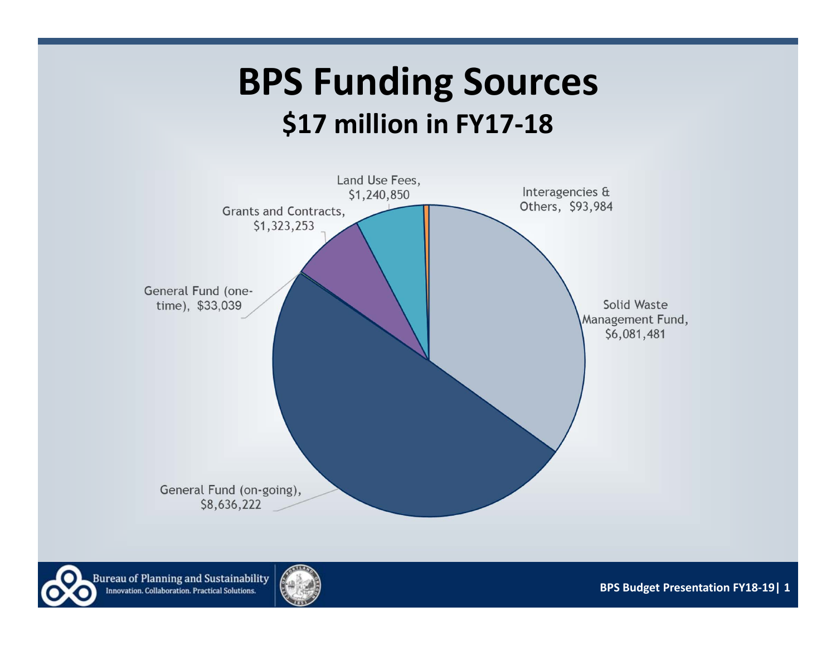### **BPS Funding Sources \$17 million in FY17‐18**





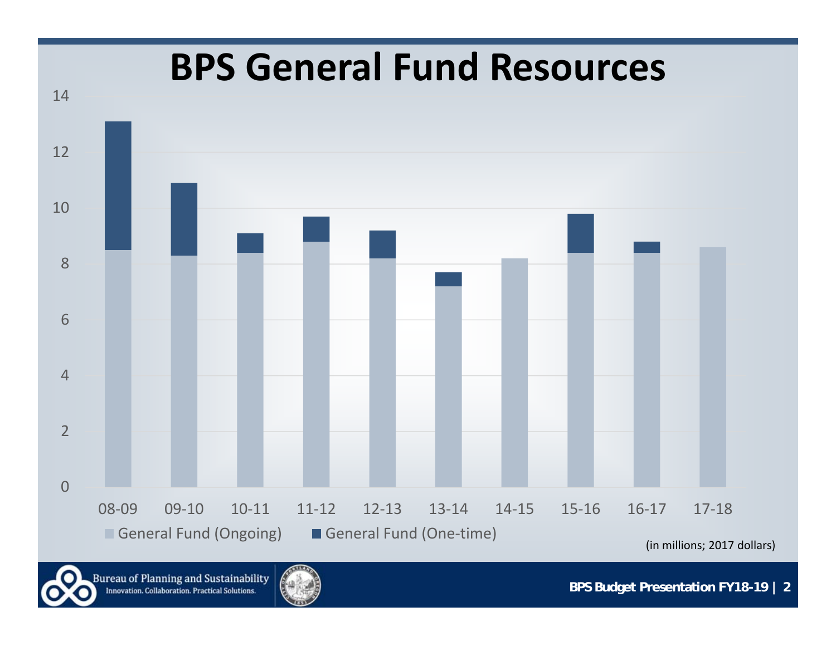

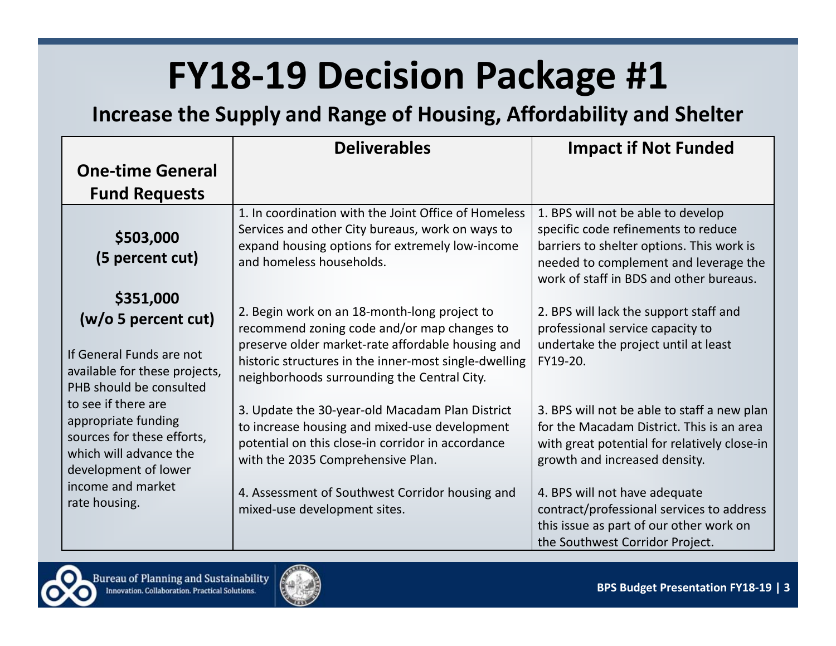**Increase the Supply and Range of Housing, Affordability and Shelter** 

|                                                                                                                            | <b>Deliverables</b>                                                                                                                                                                        | <b>Impact if Not Funded</b>                                                                                                                                                                                |
|----------------------------------------------------------------------------------------------------------------------------|--------------------------------------------------------------------------------------------------------------------------------------------------------------------------------------------|------------------------------------------------------------------------------------------------------------------------------------------------------------------------------------------------------------|
| <b>One-time General</b>                                                                                                    |                                                                                                                                                                                            |                                                                                                                                                                                                            |
| <b>Fund Requests</b>                                                                                                       |                                                                                                                                                                                            |                                                                                                                                                                                                            |
| \$503,000<br>(5 percent cut)                                                                                               | 1. In coordination with the Joint Office of Homeless<br>Services and other City bureaus, work on ways to<br>expand housing options for extremely low-income<br>and homeless households.    | 1. BPS will not be able to develop<br>specific code refinements to reduce<br>barriers to shelter options. This work is<br>needed to complement and leverage the<br>work of staff in BDS and other bureaus. |
| \$351,000<br>(w/o 5 percent cut)                                                                                           | 2. Begin work on an 18-month-long project to<br>recommend zoning code and/or map changes to<br>preserve older market-rate affordable housing and                                           | 2. BPS will lack the support staff and<br>professional service capacity to<br>undertake the project until at least                                                                                         |
| If General Funds are not<br>available for these projects,<br>PHB should be consulted                                       | historic structures in the inner-most single-dwelling<br>neighborhoods surrounding the Central City.                                                                                       | FY19-20.                                                                                                                                                                                                   |
| to see if there are<br>appropriate funding<br>sources for these efforts,<br>which will advance the<br>development of lower | 3. Update the 30-year-old Macadam Plan District<br>to increase housing and mixed-use development<br>potential on this close-in corridor in accordance<br>with the 2035 Comprehensive Plan. | 3. BPS will not be able to staff a new plan<br>for the Macadam District. This is an area<br>with great potential for relatively close-in<br>growth and increased density.                                  |
| income and market<br>rate housing.                                                                                         | 4. Assessment of Southwest Corridor housing and<br>mixed-use development sites.                                                                                                            | 4. BPS will not have adequate<br>contract/professional services to address<br>this issue as part of our other work on<br>the Southwest Corridor Project.                                                   |



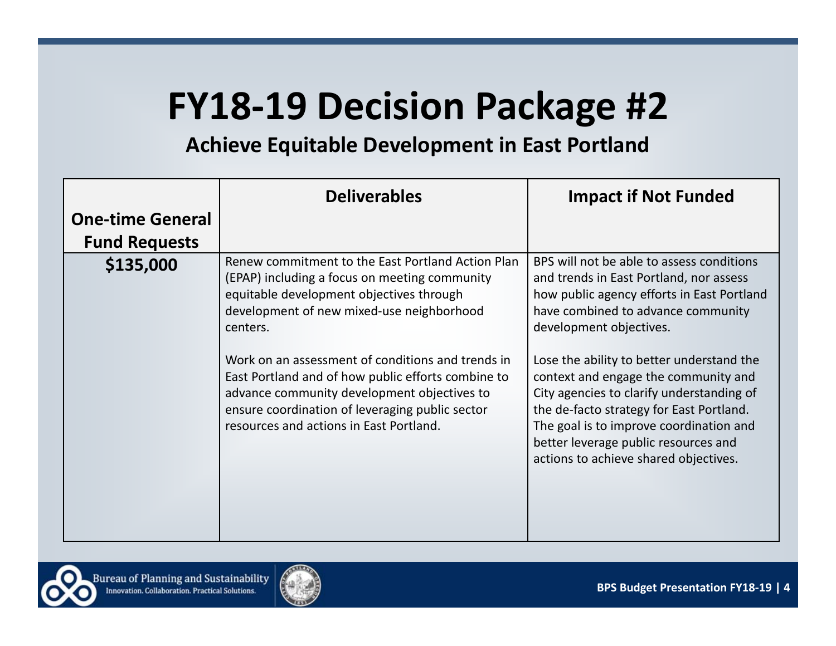#### **Achieve Equitable Development in East Portland**

|                         | <b>Deliverables</b>                                                                                                                                                                                                                                                                                                                                                                                                                                             | <b>Impact if Not Funded</b>                                                                                                                                                                                                                                                                                                                                                                                                                                                                                   |
|-------------------------|-----------------------------------------------------------------------------------------------------------------------------------------------------------------------------------------------------------------------------------------------------------------------------------------------------------------------------------------------------------------------------------------------------------------------------------------------------------------|---------------------------------------------------------------------------------------------------------------------------------------------------------------------------------------------------------------------------------------------------------------------------------------------------------------------------------------------------------------------------------------------------------------------------------------------------------------------------------------------------------------|
| <b>One-time General</b> |                                                                                                                                                                                                                                                                                                                                                                                                                                                                 |                                                                                                                                                                                                                                                                                                                                                                                                                                                                                                               |
| <b>Fund Requests</b>    |                                                                                                                                                                                                                                                                                                                                                                                                                                                                 |                                                                                                                                                                                                                                                                                                                                                                                                                                                                                                               |
| \$135,000               | Renew commitment to the East Portland Action Plan<br>(EPAP) including a focus on meeting community<br>equitable development objectives through<br>development of new mixed-use neighborhood<br>centers.<br>Work on an assessment of conditions and trends in<br>East Portland and of how public efforts combine to<br>advance community development objectives to<br>ensure coordination of leveraging public sector<br>resources and actions in East Portland. | BPS will not be able to assess conditions<br>and trends in East Portland, nor assess<br>how public agency efforts in East Portland<br>have combined to advance community<br>development objectives.<br>Lose the ability to better understand the<br>context and engage the community and<br>City agencies to clarify understanding of<br>the de-facto strategy for East Portland.<br>The goal is to improve coordination and<br>better leverage public resources and<br>actions to achieve shared objectives. |

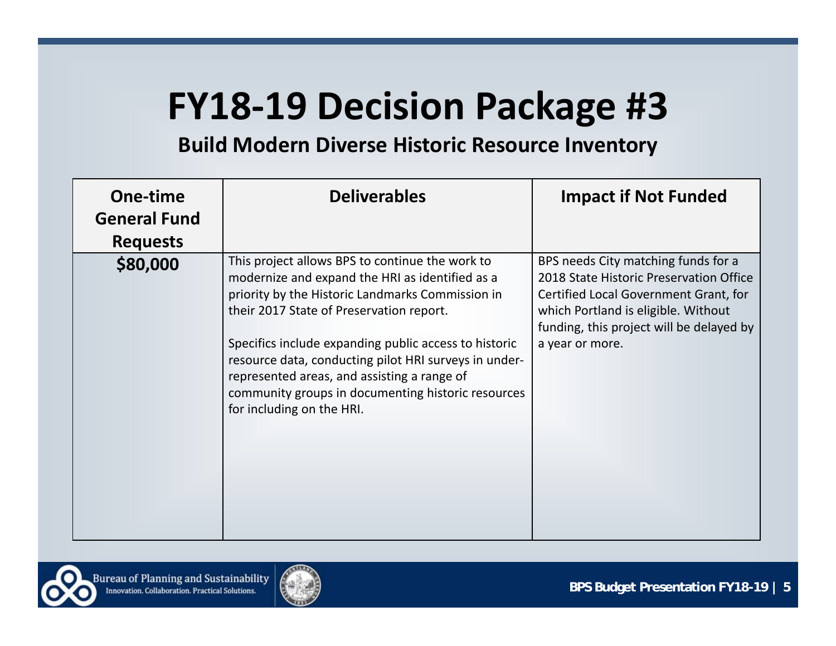**Build Modern Diverse Historic Resource Inventory**

| One-time<br><b>General Fund</b> | <b>Deliverables</b>                                                                                                                                                                                                                                                                                                                                                                                                                                    | <b>Impact if Not Funded</b>                                                                                                                                                                                                   |
|---------------------------------|--------------------------------------------------------------------------------------------------------------------------------------------------------------------------------------------------------------------------------------------------------------------------------------------------------------------------------------------------------------------------------------------------------------------------------------------------------|-------------------------------------------------------------------------------------------------------------------------------------------------------------------------------------------------------------------------------|
| <b>Requests</b>                 |                                                                                                                                                                                                                                                                                                                                                                                                                                                        |                                                                                                                                                                                                                               |
| \$80,000                        | This project allows BPS to continue the work to<br>modernize and expand the HRI as identified as a<br>priority by the Historic Landmarks Commission in<br>their 2017 State of Preservation report.<br>Specifics include expanding public access to historic<br>resource data, conducting pilot HRI surveys in under-<br>represented areas, and assisting a range of<br>community groups in documenting historic resources<br>for including on the HRI. | BPS needs City matching funds for a<br>2018 State Historic Preservation Office<br>Certified Local Government Grant, for<br>which Portland is eligible. Without<br>funding, this project will be delayed by<br>a year or more. |

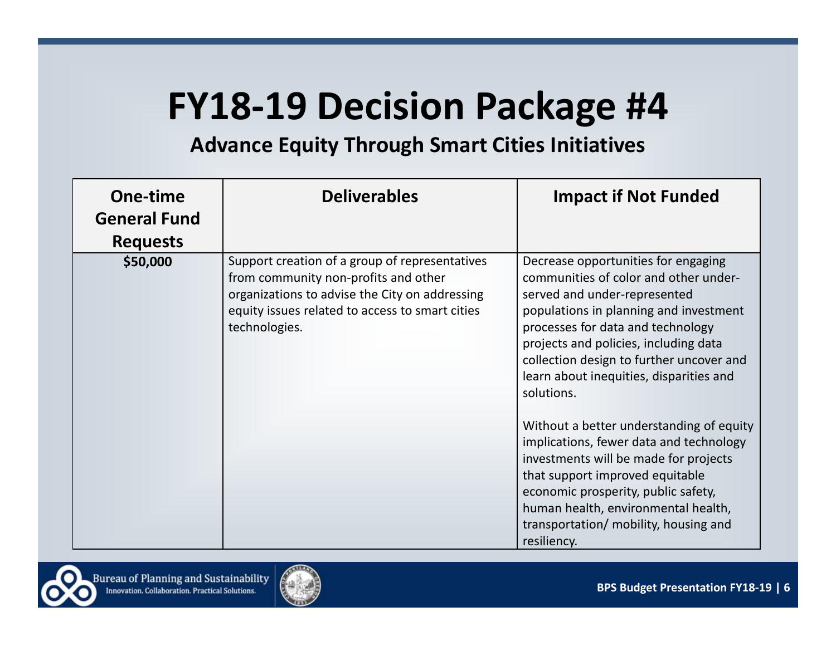#### **Advance Equity Through Smart Cities Initiatives**

| One-time<br><b>General Fund</b><br><b>Requests</b> | <b>Deliverables</b>                                                                                                                                                                                          | <b>Impact if Not Funded</b>                                                                                                                                                                                                                                                                                                               |
|----------------------------------------------------|--------------------------------------------------------------------------------------------------------------------------------------------------------------------------------------------------------------|-------------------------------------------------------------------------------------------------------------------------------------------------------------------------------------------------------------------------------------------------------------------------------------------------------------------------------------------|
| \$50,000                                           | Support creation of a group of representatives<br>from community non-profits and other<br>organizations to advise the City on addressing<br>equity issues related to access to smart cities<br>technologies. | Decrease opportunities for engaging<br>communities of color and other under-<br>served and under-represented<br>populations in planning and investment<br>processes for data and technology<br>projects and policies, including data<br>collection design to further uncover and<br>learn about inequities, disparities and<br>solutions. |
|                                                    |                                                                                                                                                                                                              | Without a better understanding of equity<br>implications, fewer data and technology<br>investments will be made for projects<br>that support improved equitable<br>economic prosperity, public safety,<br>human health, environmental health,<br>transportation/ mobility, housing and<br>resiliency.                                     |

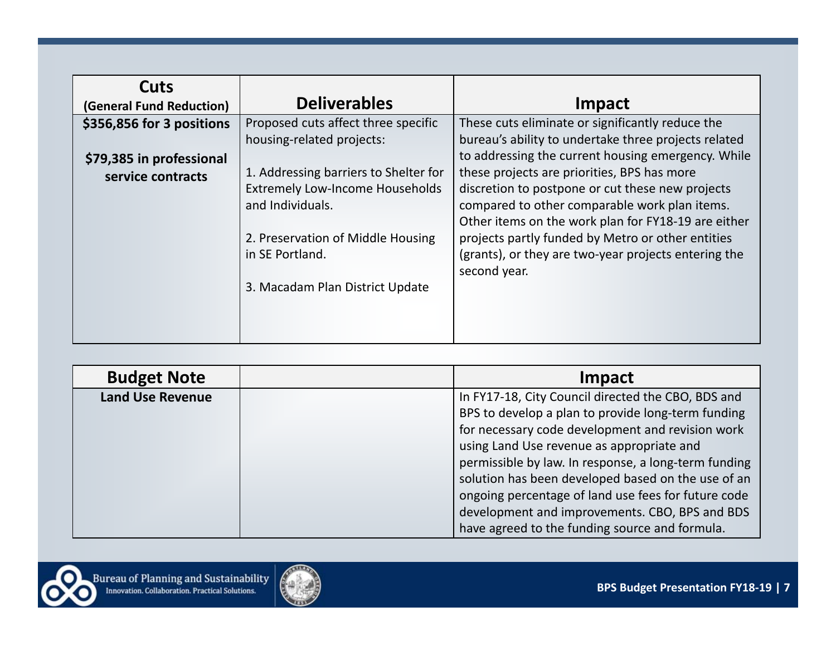| Cuts<br>(General Fund Reduction)              | <b>Deliverables</b>                                                                                                                      | Impact                                                                                                                                                                                                                                                       |
|-----------------------------------------------|------------------------------------------------------------------------------------------------------------------------------------------|--------------------------------------------------------------------------------------------------------------------------------------------------------------------------------------------------------------------------------------------------------------|
| \$356,856 for 3 positions                     | Proposed cuts affect three specific<br>housing-related projects:                                                                         | These cuts eliminate or significantly reduce the<br>bureau's ability to undertake three projects related<br>to addressing the current housing emergency. While                                                                                               |
| \$79,385 in professional<br>service contracts | 1. Addressing barriers to Shelter for<br><b>Extremely Low-Income Households</b><br>and Individuals.<br>2. Preservation of Middle Housing | these projects are priorities, BPS has more<br>discretion to postpone or cut these new projects<br>compared to other comparable work plan items.<br>Other items on the work plan for FY18-19 are either<br>projects partly funded by Metro or other entities |
|                                               | in SE Portland.                                                                                                                          | (grants), or they are two-year projects entering the<br>second year.                                                                                                                                                                                         |
|                                               | 3. Macadam Plan District Update                                                                                                          |                                                                                                                                                                                                                                                              |

| <b>Budget Note</b>      | Impact                                                                                                                                                                                                                                                                                                                  |
|-------------------------|-------------------------------------------------------------------------------------------------------------------------------------------------------------------------------------------------------------------------------------------------------------------------------------------------------------------------|
| <b>Land Use Revenue</b> | In FY17-18, City Council directed the CBO, BDS and<br>BPS to develop a plan to provide long-term funding<br>for necessary code development and revision work<br>using Land Use revenue as appropriate and<br>permissible by law. In response, a long-term funding<br>solution has been developed based on the use of an |
|                         | ongoing percentage of land use fees for future code<br>development and improvements. CBO, BPS and BDS<br>have agreed to the funding source and formula.                                                                                                                                                                 |

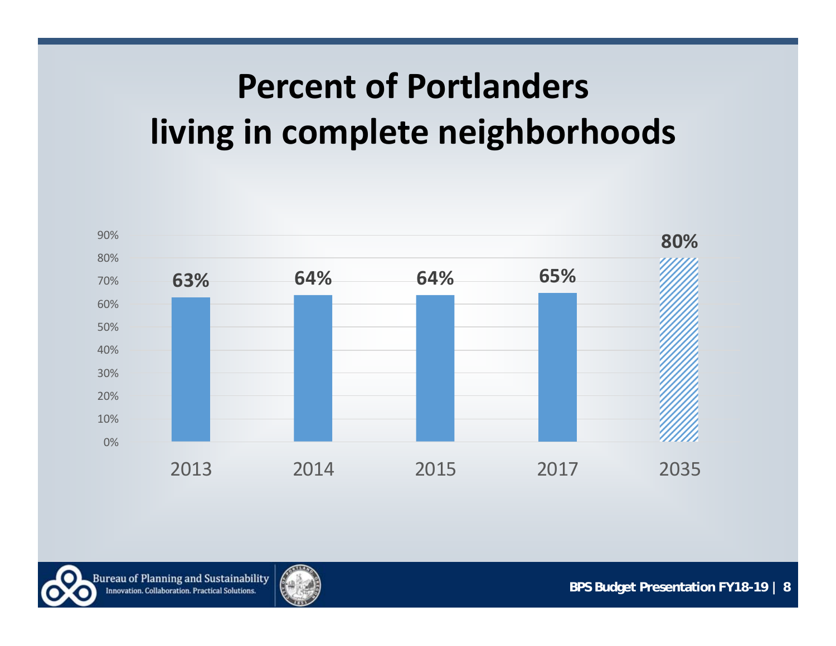## **Percent of Portlanders living in complete neighborhoods**



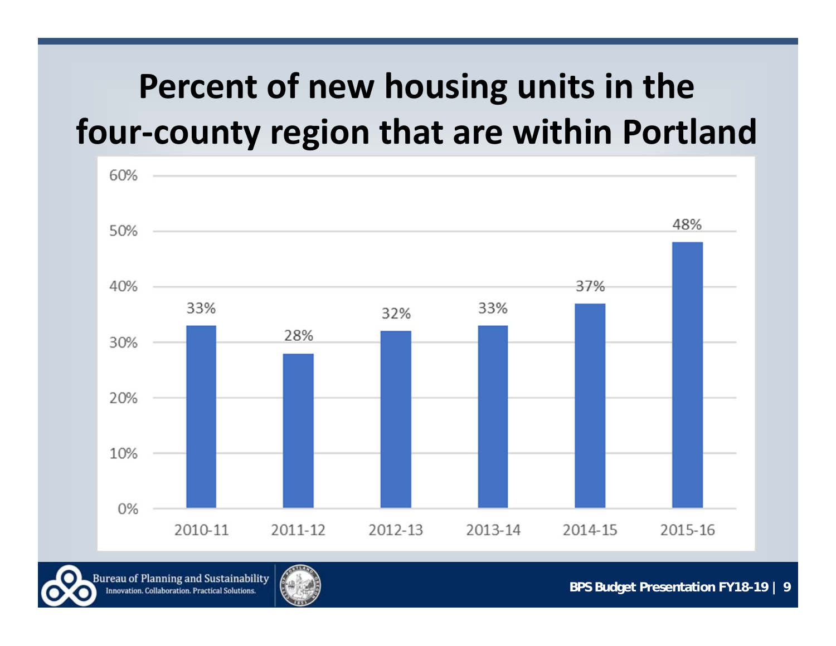### **Percent of new housing units in the four‐county region that are within Portland**



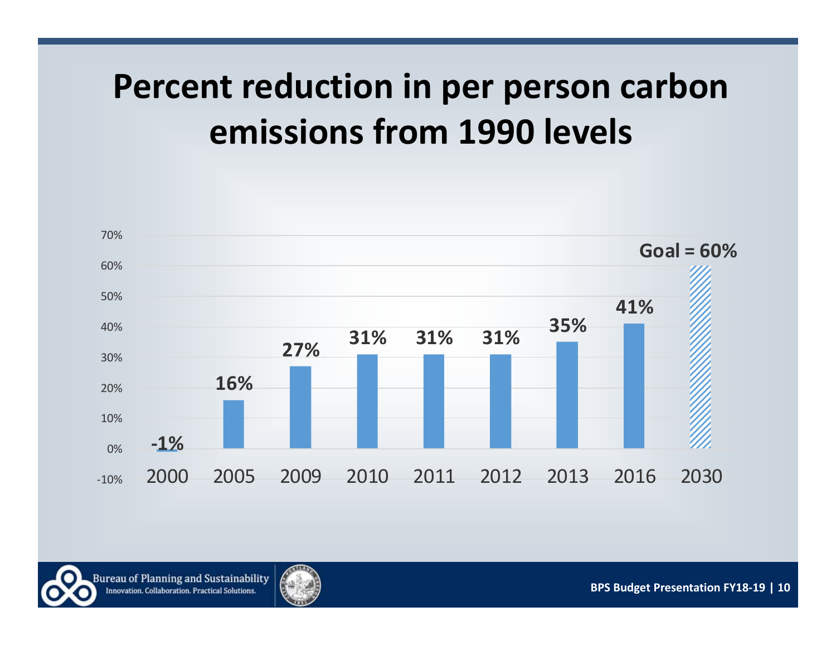### **Percent reduction in per person carbon emissions from 1990 levels**